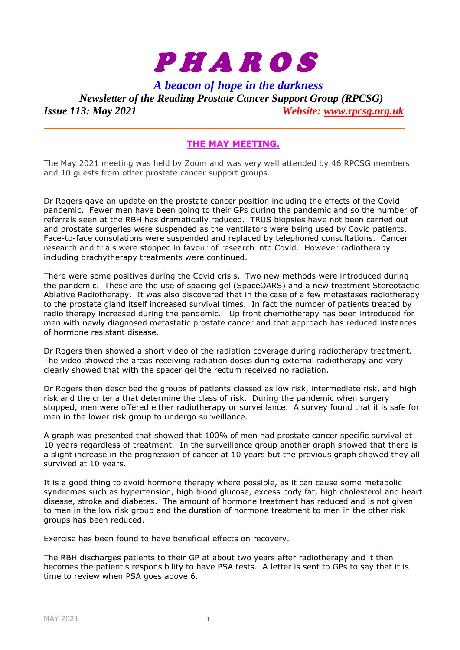

*A beacon of hope in the darkness*

*Newsletter of the Reading Prostate Cancer Support Group (RPCSG) Issue 113: May 2021 Website: [www.rpcsg.org.uk](http://www.rpcsg.org.uk/)*

## **THE MAY MEETING.**

The May 2021 meeting was held by Zoom and was very well attended by 46 RPCSG members and 10 guests from other prostate cancer support groups.

Dr Rogers gave an update on the prostate cancer position including the effects of the Covid pandemic. Fewer men have been going to their GPs during the pandemic and so the number of referrals seen at the RBH has dramatically reduced. TRUS biopsies have not been carried out and prostate surgeries were suspended as the ventilators were being used by Covid patients. Face-to-face consolations were suspended and replaced by telephoned consultations. Cancer research and trials were stopped in favour of research into Covid. However radiotherapy including brachytherapy treatments were continued.

There were some positives during the Covid crisis. Two new methods were introduced during the pandemic. These are the use of spacing gel (SpaceOARS) and a new treatment Stereotactic Ablative Radiotherapy. It was also discovered that in the case of a few metastases radiotherapy to the prostate gland itself increased survival times. In fact the number of patients treated by radio therapy increased during the pandemic. Up front chemotherapy has been introduced for men with newly diagnosed metastatic prostate cancer and that approach has reduced instances of hormone resistant disease.

Dr Rogers then showed a short video of the radiation coverage during radiotherapy treatment. The video showed the areas receiving radiation doses during external radiotherapy and very clearly showed that with the spacer gel the rectum received no radiation.

Dr Rogers then described the groups of patients classed as low risk, intermediate risk, and high risk and the criteria that determine the class of risk. During the pandemic when surgery stopped, men were offered either radiotherapy or surveillance. A survey found that it is safe for men in the lower risk group to undergo surveillance.

A graph was presented that showed that 100% of men had prostate cancer specific survival at 10 years regardless of treatment. In the surveillance group another graph showed that there is a slight increase in the progression of cancer at 10 years but the previous graph showed they all survived at 10 years.

It is a good thing to avoid hormone therapy where possible, as it can cause some metabolic syndromes such as hypertension, high blood glucose, excess body fat, high cholesterol and heart disease, stroke and diabetes. The amount of hormone treatment has reduced and is not given to men in the low risk group and the duration of hormone treatment to men in the other risk groups has been reduced.

Exercise has been found to have beneficial effects on recovery.

The RBH discharges patients to their GP at about two years after radiotherapy and it then becomes the patient's responsibility to have PSA tests. A letter is sent to GPs to say that it is time to review when PSA goes above 6.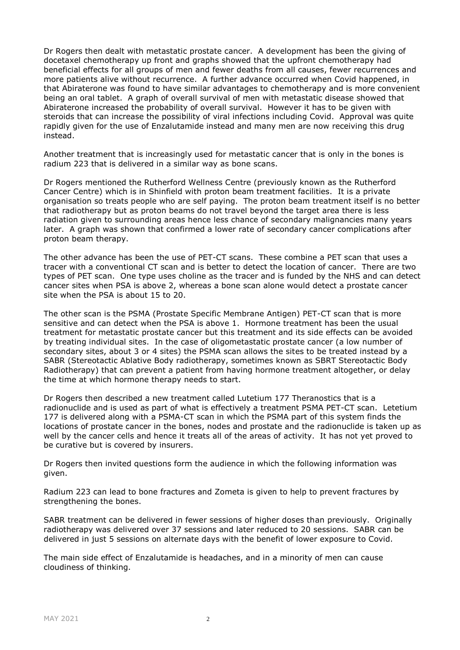Dr Rogers then dealt with metastatic prostate cancer. A development has been the giving of docetaxel chemotherapy up front and graphs showed that the upfront chemotherapy had beneficial effects for all groups of men and fewer deaths from all causes, fewer recurrences and more patients alive without recurrence. A further advance occurred when Covid happened, in that Abiraterone was found to have similar advantages to chemotherapy and is more convenient being an oral tablet. A graph of overall survival of men with metastatic disease showed that Abiraterone increased the probability of overall survival. However it has to be given with steroids that can increase the possibility of viral infections including Covid. Approval was quite rapidly given for the use of Enzalutamide instead and many men are now receiving this drug instead.

Another treatment that is increasingly used for metastatic cancer that is only in the bones is radium 223 that is delivered in a similar way as bone scans.

Dr Rogers mentioned the Rutherford Wellness Centre (previously known as the Rutherford Cancer Centre) which is in Shinfield with proton beam treatment facilities. It is a private organisation so treats people who are self paying. The proton beam treatment itself is no better that radiotherapy but as proton beams do not travel beyond the target area there is less radiation given to surrounding areas hence less chance of secondary malignancies many years later. A graph was shown that confirmed a lower rate of secondary cancer complications after proton beam therapy.

The other advance has been the use of PET-CT scans. These combine a PET scan that uses a tracer with a conventional CT scan and is better to detect the location of cancer. There are two types of PET scan. One type uses choline as the tracer and is funded by the NHS and can detect cancer sites when PSA is above 2, whereas a bone scan alone would detect a prostate cancer site when the PSA is about 15 to 20.

The other scan is the PSMA (Prostate Specific Membrane Antigen) PET-CT scan that is more sensitive and can detect when the PSA is above 1. Hormone treatment has been the usual treatment for metastatic prostate cancer but this treatment and its side effects can be avoided by treating individual sites. In the case of oligometastatic prostate cancer (a low number of secondary sites, about 3 or 4 sites) the PSMA scan allows the sites to be treated instead by a SABR (Stereotactic Ablative Body radiotherapy, sometimes known as SBRT Stereotactic Body Radiotherapy) that can prevent a patient from having hormone treatment altogether, or delay the time at which hormone therapy needs to start.

Dr Rogers then described a new treatment called Lutetium 177 Theranostics that is a radionuclide and is used as part of what is effectively a treatment PSMA PET-CT scan. Letetium 177 is delivered along with a PSMA-CT scan in which the PSMA part of this system finds the locations of prostate cancer in the bones, nodes and prostate and the radionuclide is taken up as well by the cancer cells and hence it treats all of the areas of activity. It has not yet proved to be curative but is covered by insurers.

Dr Rogers then invited questions form the audience in which the following information was given.

Radium 223 can lead to bone fractures and Zometa is given to help to prevent fractures by strengthening the bones.

SABR treatment can be delivered in fewer sessions of higher doses than previously. Originally radiotherapy was delivered over 37 sessions and later reduced to 20 sessions. SABR can be delivered in just 5 sessions on alternate days with the benefit of lower exposure to Covid.

The main side effect of Enzalutamide is headaches, and in a minority of men can cause cloudiness of thinking.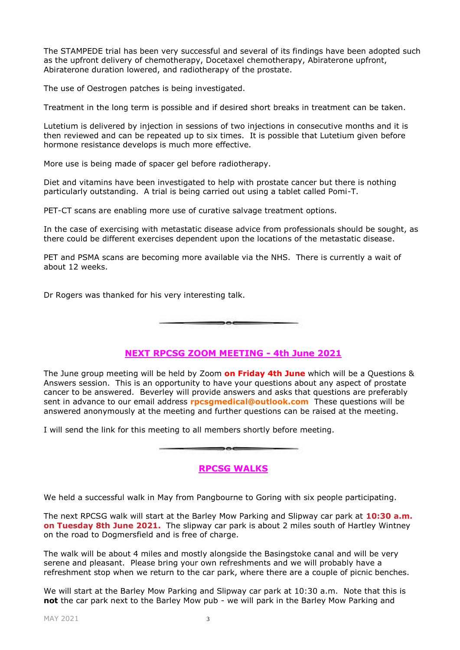The STAMPEDE trial has been very successful and several of its findings have been adopted such as the upfront delivery of chemotherapy, Docetaxel chemotherapy, Abiraterone upfront, Abiraterone duration lowered, and radiotherapy of the prostate.

The use of Oestrogen patches is being investigated.

Treatment in the long term is possible and if desired short breaks in treatment can be taken.

Lutetium is delivered by injection in sessions of two injections in consecutive months and it is then reviewed and can be repeated up to six times. It is possible that Lutetium given before hormone resistance develops is much more effective.

More use is being made of spacer gel before radiotherapy.

Diet and vitamins have been investigated to help with prostate cancer but there is nothing particularly outstanding. A trial is being carried out using a tablet called Pomi-T.

PET-CT scans are enabling more use of curative salvage treatment options.

In the case of exercising with metastatic disease advice from professionals should be sought, as there could be different exercises dependent upon the locations of the metastatic disease.

PET and PSMA scans are becoming more available via the NHS. There is currently a wait of about 12 weeks.

 $\rightarrow$ 

Dr Rogers was thanked for his very interesting talk.

**NEXT RPCSG ZOOM MEETING - 4th June 2021**

The June group meeting will be held by Zoom **on Friday 4th June** which will be a Questions & Answers session. This is an opportunity to have your questions about any aspect of prostate cancer to be answered. Beverley will provide answers and asks that questions are preferably sent in advance to our email address **rpcsgmedical@outlook.com** These questions will be answered anonymously at the meeting and further questions can be raised at the meeting.

I will send the link for this meeting to all members shortly before meeting.

## **RPCSG WALKS**

 $\overline{\phantom{a}}$ 

We held a successful walk in May from Pangbourne to Goring with six people participating.

The next RPCSG walk will start at the Barley Mow Parking and Slipway car park at **10:30 a.m. on Tuesday 8th June 2021.** The slipway car park is about 2 miles south of Hartley Wintney on the road to Dogmersfield and is free of charge.

The walk will be about 4 miles and mostly alongside the Basingstoke canal and will be very serene and pleasant. Please bring your own refreshments and we will probably have a refreshment stop when we return to the car park, where there are a couple of picnic benches.

We will start at the Barley Mow Parking and Slipway car park at 10:30 a.m. Note that this is **not** the car park next to the Barley Mow pub - we will park in the Barley Mow Parking and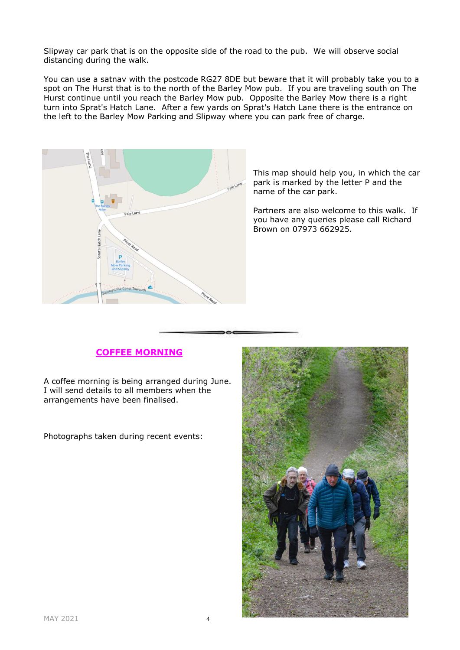Slipway car park that is on the opposite side of the road to the pub. We will observe social distancing during the walk.

You can use a satnav with the postcode RG27 8DE but beware that it will probably take you to a spot on The Hurst that is to the north of the Barley Mow pub. If you are traveling south on The Hurst continue until you reach the Barley Mow pub. Opposite the Barley Mow there is a right turn into Sprat's Hatch Lane. After a few yards on Sprat's Hatch Lane there is the entrance on the left to the Barley Mow Parking and Slipway where you can park free of charge.



This map should help you, in which the car park is marked by the letter P and the name of the car park.

Partners are also welcome to this walk. If you have any queries please call Richard Brown on 07973 662925.

# **COFFEE MORNING**

A coffee morning is being arranged during June. I will send details to all members when the arrangements have been finalised.

Photographs taken during recent events: